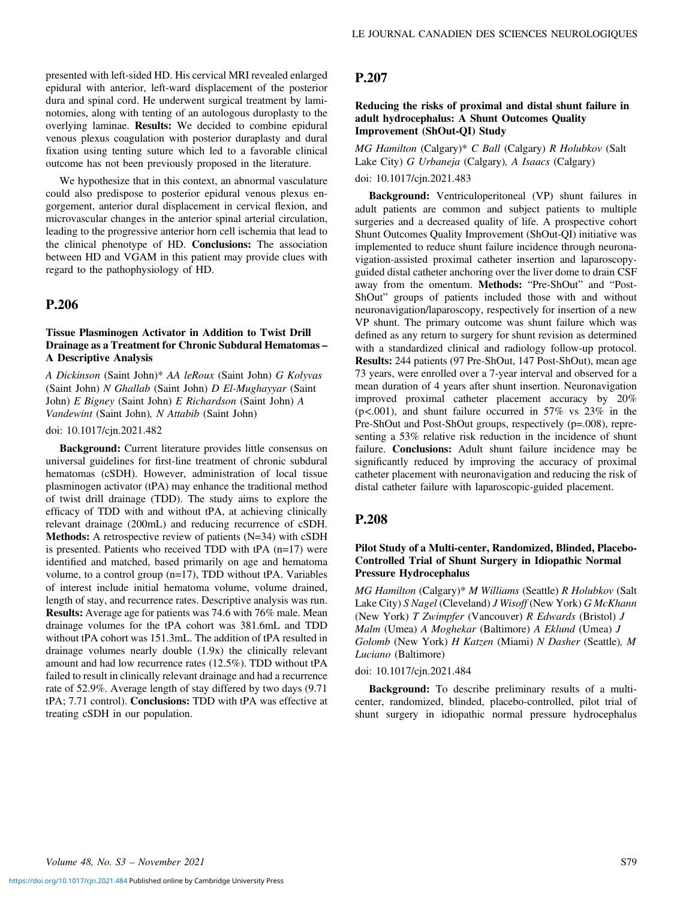presented with left-sided HD. His cervical MRI revealed enlarged epidural with anterior, left-ward displacement of the posterior dura and spinal cord. He underwent surgical treatment by laminotomies, along with tenting of an autologous duroplasty to the overlying laminae. Results: We decided to combine epidural venous plexus coagulation with posterior duraplasty and dural fixation using tenting suture which led to a favorable clinical outcome has not been previously proposed in the literature.

We hypothesize that in this context, an abnormal vasculature could also predispose to posterior epidural venous plexus engorgement, anterior dural displacement in cervical flexion, and microvascular changes in the anterior spinal arterial circulation, leading to the progressive anterior horn cell ischemia that lead to the clinical phenotype of HD. Conclusions: The association between HD and VGAM in this patient may provide clues with regard to the pathophysiology of HD.

## P.206

#### Tissue Plasminogen Activator in Addition to Twist Drill Drainage as a Treatment for Chronic Subdural Hematomas – A Descriptive Analysis

A Dickinson (Saint John)\* AA leRoux (Saint John) G Kolyvas (Saint John) N Ghallab (Saint John) D El-Mughayyar (Saint John) E Bigney (Saint John) E Richardson (Saint John) A Vandewint (Saint John), N Attabib (Saint John)

#### doi: 10.1017/cjn.2021.482

Background: Current literature provides little consensus on universal guidelines for first-line treatment of chronic subdural hematomas (cSDH). However, administration of local tissue plasminogen activator (tPA) may enhance the traditional method of twist drill drainage (TDD). The study aims to explore the efficacy of TDD with and without tPA, at achieving clinically relevant drainage (200mL) and reducing recurrence of cSDH. Methods: A retrospective review of patients (N=34) with cSDH is presented. Patients who received TDD with tPA (n=17) were identified and matched, based primarily on age and hematoma volume, to a control group (n=17), TDD without tPA. Variables of interest include initial hematoma volume, volume drained, length of stay, and recurrence rates. Descriptive analysis was run. Results: Average age for patients was 74.6 with 76% male. Mean drainage volumes for the tPA cohort was 381.6mL and TDD without tPA cohort was 151.3mL. The addition of tPA resulted in drainage volumes nearly double (1.9x) the clinically relevant amount and had low recurrence rates (12.5%). TDD without tPA failed to result in clinically relevant drainage and had a recurrence rate of 52.9%. Average length of stay differed by two days (9.71 tPA; 7.71 control). Conclusions: TDD with tPA was effective at treating cSDH in our population.

# P.207

### Reducing the risks of proximal and distal shunt failure in adult hydrocephalus: A Shunt Outcomes Quality Improvement (ShOut-QI) Study

MG Hamilton (Calgary)\* C Ball (Calgary) R Holubkov (Salt Lake City) G Urbaneja (Calgary), A Isaacs (Calgary)

## doi: 10.1017/cjn.2021.483

Background: Ventriculoperitoneal (VP) shunt failures in adult patients are common and subject patients to multiple surgeries and a decreased quality of life. A prospective cohort Shunt Outcomes Quality Improvement (ShOut-QI) initiative was implemented to reduce shunt failure incidence through neuronavigation-assisted proximal catheter insertion and laparoscopyguided distal catheter anchoring over the liver dome to drain CSF away from the omentum. Methods: "Pre-ShOut" and "Post-ShOut" groups of patients included those with and without neuronavigation/laparoscopy, respectively for insertion of a new VP shunt. The primary outcome was shunt failure which was defined as any return to surgery for shunt revision as determined with a standardized clinical and radiology follow-up protocol. Results: 244 patients (97 Pre-ShOut, 147 Post-ShOut), mean age 73 years, were enrolled over a 7-year interval and observed for a mean duration of 4 years after shunt insertion. Neuronavigation improved proximal catheter placement accuracy by 20%  $(p<.001)$ , and shunt failure occurred in 57% vs 23% in the Pre-ShOut and Post-ShOut groups, respectively (p=.008), representing a 53% relative risk reduction in the incidence of shunt failure. Conclusions: Adult shunt failure incidence may be significantly reduced by improving the accuracy of proximal catheter placement with neuronavigation and reducing the risk of distal catheter failure with laparoscopic-guided placement.

## P.208

#### Pilot Study of a Multi-center, Randomized, Blinded, Placebo-Controlled Trial of Shunt Surgery in Idiopathic Normal Pressure Hydrocephalus

MG Hamilton (Calgary)\* M Williams (Seattle) R Holubkov (Salt Lake City) S Nagel (Cleveland) J Wisoff (New York) G McKhann (New York)  $T$  Zwimpfer (Vancouver)  $R$  Edwards (Bristol)  $J$ Malm (Umea) A Moghekar (Baltimore) A Eklund (Umea) J Golomb (New York) H Katzen (Miami) N Dasher (Seattle), M Luciano (Baltimore)

#### doi: 10.1017/cjn.2021.484

Background: To describe preliminary results of a multicenter, randomized, blinded, placebo-controlled, pilot trial of shunt surgery in idiopathic normal pressure hydrocephalus